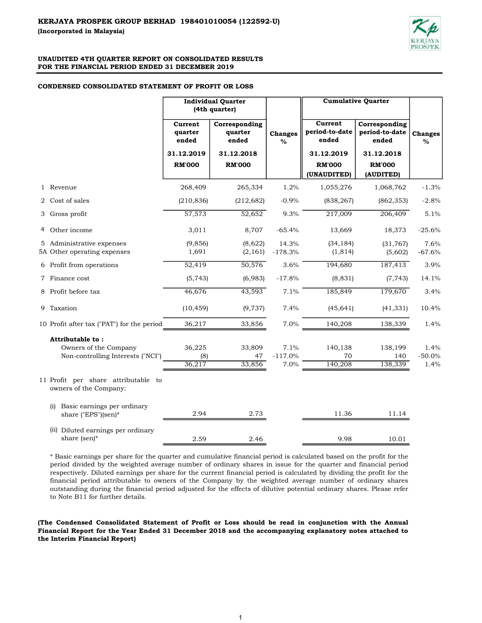

# CONDENSED CONSOLIDATED STATEMENT OF PROFIT OR LOSS

|                                                                                |                             | <b>Individual Quarter</b><br>(4th quarter) |                           | <b>Cumulative Quarter</b>          |                                          |                          |  |
|--------------------------------------------------------------------------------|-----------------------------|--------------------------------------------|---------------------------|------------------------------------|------------------------------------------|--------------------------|--|
|                                                                                | Current<br>quarter<br>ended | Corresponding<br>quarter<br>ended          | <b>Changes</b><br>$\%$    | Current<br>period-to-date<br>ended | Corresponding<br>period-to-date<br>ended | <b>Changes</b><br>$\%$   |  |
|                                                                                | 31.12.2019                  | 31.12.2018                                 |                           | 31.12.2019                         | 31.12.2018                               |                          |  |
|                                                                                | <b>RM'000</b>               | <b>RM'000</b>                              |                           | <b>RM'000</b><br>(UNAUDITED)       | <b>RM'000</b><br>(AUDITED)               |                          |  |
| 1 Revenue                                                                      | 268,409                     | 265,334                                    | 1.2%                      | 1,055,276                          | 1,068,762                                | $-1.3%$                  |  |
| 2 Cost of sales                                                                | (210, 836)                  | (212, 682)                                 | $-0.9%$                   | (838, 267)                         | (862, 353)                               | $-2.8%$                  |  |
| 3 Gross profit                                                                 | 57,573                      | 52,652                                     | 9.3%                      | 217,009                            | 206,409                                  | 5.1%                     |  |
| 4 Other income                                                                 | 3,011                       | 8,707                                      | $-65.4%$                  | 13,669                             | 18,373                                   | $-25.6%$                 |  |
| 5 Administrative expenses<br>5A Other operating expenses                       | (9, 856)<br>1,691           | (8,622)<br>(2, 161)                        | 14.3%<br>$-178.3%$        | (34, 184)<br>(1, 814)              | (31, 767)<br>(5,602)                     | 7.6%<br>$-67.6%$         |  |
| 6 Profit from operations                                                       | 52,419                      | 50,576                                     | 3.6%                      | 194,680                            | 187,413                                  | 3.9%                     |  |
| 7 Finance cost                                                                 | (5, 743)                    | (6,983)                                    | $-17.8%$                  | (8, 831)                           | (7, 743)                                 | 14.1%                    |  |
| 8 Profit before tax                                                            | 46,676                      | 43,593                                     | 7.1%                      | 185,849                            | 179,670                                  | 3.4%                     |  |
| 9 Taxation                                                                     | (10, 459)                   | (9, 737)                                   | 7.4%                      | (45, 641)                          | (41, 331)                                | 10.4%                    |  |
| 10 Profit after tax ("PAT") for the period                                     | 36,217                      | 33,856                                     | 7.0%                      | 140,208                            | 138,339                                  | 1.4%                     |  |
| Attributable to:<br>Owners of the Company<br>Non-controlling Interests ("NCI") | 36,225<br>(8)<br>36,217     | 33,809<br>47<br>33,856                     | 7.1%<br>$-117.0%$<br>7.0% | 140,138<br>70<br>140,208           | 138,199<br>140<br>138,339                | 1.4%<br>$-50.0%$<br>1.4% |  |
| 11 Profit per share attributable to<br>owners of the Company:                  |                             |                                            |                           |                                    |                                          |                          |  |
| Basic earnings per ordinary<br>(i)<br>share ("EPS")(sen)*                      | 2.94                        | 2.73                                       |                           | 11.36                              | 11.14                                    |                          |  |
| (ii) Diluted earnings per ordinary<br>share (sen)*                             | 2.59                        | 2.46                                       |                           | 9.98                               | 10.01                                    |                          |  |

\* Basic earnings per share for the quarter and cumulative financial period is calculated based on the profit for the period divided by the weighted average number of ordinary shares in issue for the quarter and financial period respectively. Diluted earnings per share for the current financial period is calculated by dividing the profit for the financial period attributable to owners of the Company by the weighted average number of ordinary shares outstanding during the financial period adjusted for the effects of dilutive potential ordinary shares. Please refer to Note B11 for further details.

(The Condensed Consolidated Statement of Profit or Loss should be read in conjunction with the Annual Financial Report for the Year Ended 31 December 2018 and the accompanying explanatory notes attached to the Interim Financial Report)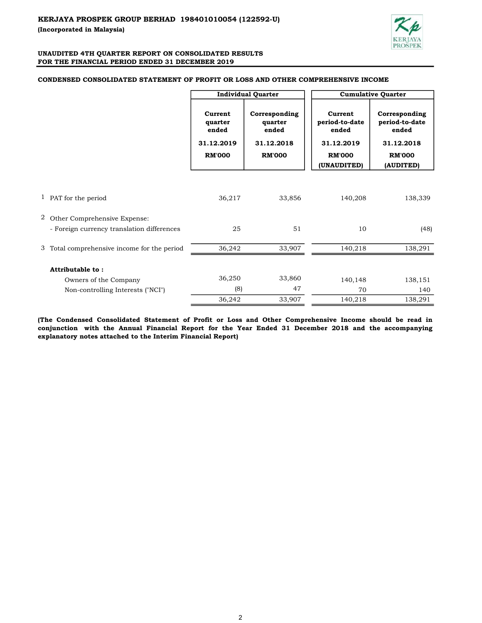

#### Current quarter ended Corresponding quarter ended Current period-to-date ended Corresponding period-to-date ended 31.12.2019 31.12.2018 31.12.2019 31.12.2018 RM'000 RM'000 RM'000 RM'000 (UNAUDITED) (AUDITED) 1 PAT for the period 138,339 and 36,217 33,856 36,217 33,856 36,217 33,856 38,399 2 Other Comprehensive Expense:  $25$  51 10 (48) 3 33,907 36,242 140,218 138,291 Total comprehensive income for the period 33,860 36,250 138,151 140,148 (8) 47 70 140 33,907 36,242 140,218 138,291 Cumulative Quarter Individual Quarter Attributable to : - Foreign currency translation differences Owners of the Company Non-controlling Interests ("NCI")

#### CONDENSED CONSOLIDATED STATEMENT OF PROFIT OR LOSS AND OTHER COMPREHENSIVE INCOME

(The Condensed Consolidated Statement of Profit or Loss and Other Comprehensive Income should be read in conjunction with the Annual Financial Report for the Year Ended 31 December 2018 and the accompanying explanatory notes attached to the Interim Financial Report)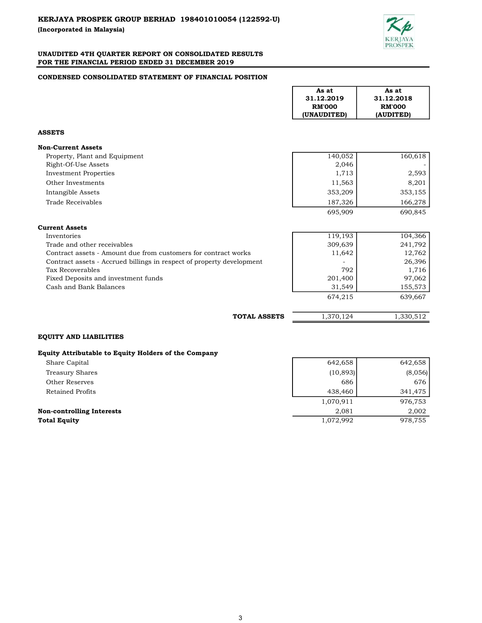

## CONDENSED CONSOLIDATED STATEMENT OF FINANCIAL POSITION

|                                                                       | As at<br>31.12.2019<br><b>RM'000</b><br>(UNAUDITED) | As at<br>31.12.2018<br><b>RM'000</b><br>(AUDITED) |
|-----------------------------------------------------------------------|-----------------------------------------------------|---------------------------------------------------|
| <b>ASSETS</b>                                                         |                                                     |                                                   |
| <b>Non-Current Assets</b>                                             |                                                     |                                                   |
| Property, Plant and Equipment<br>Right-Of-Use Assets                  | 140,052<br>2,046                                    | 160,618                                           |
| <b>Investment Properties</b><br>Other Investments                     | 1,713<br>11,563                                     | 2,593<br>8,201                                    |
| Intangible Assets                                                     | 353,209                                             | 353,155                                           |
| Trade Receivables                                                     | 187,326                                             | 166,278                                           |
|                                                                       | 695,909                                             | 690,845                                           |
| <b>Current Assets</b>                                                 |                                                     |                                                   |
| Inventories                                                           | 119,193                                             | 104,366                                           |
| Trade and other receivables                                           | 309,639                                             | 241,792                                           |
| Contract assets - Amount due from customers for contract works        | 11,642                                              | 12,762                                            |
| Contract assets - Accrued billings in respect of property development |                                                     | 26,396                                            |
| Tax Recoverables                                                      | 792                                                 | 1,716                                             |
| Fixed Deposits and investment funds                                   | 201,400                                             | 97,062                                            |
| Cash and Bank Balances                                                | 31,549                                              | 155,573                                           |
|                                                                       | 674,215                                             | 639,667                                           |
| <b>TOTAL ASSETS</b>                                                   | 1,370,124                                           | 1,330,512                                         |
| <b>EQUITY AND LIABILITIES</b>                                         |                                                     |                                                   |

# Equity Attributable to Equity Holders of the Company

| Share Capital                    | 642,658   | 642,658 |
|----------------------------------|-----------|---------|
| Treasury Shares                  | (10, 893) | (8,056) |
| Other Reserves                   | 686       | 676     |
| Retained Profits                 | 438,460   | 341,475 |
|                                  | 1,070,911 | 976,753 |
| <b>Non-controlling Interests</b> | 2.081     | 2,002   |
| <b>Total Equity</b>              | 1,072,992 | 978,755 |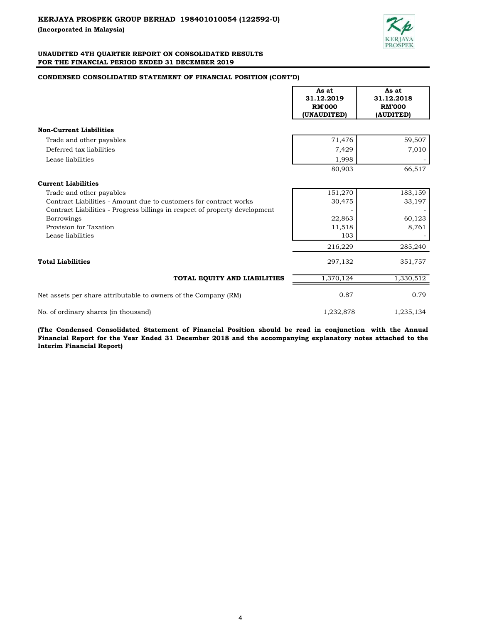

# CONDENSED CONSOLIDATED STATEMENT OF FINANCIAL POSITION (CONT'D)

|                                                                             | As at<br>31.12.2019<br><b>RM'000</b><br>(UNAUDITED) | As at<br>31.12.2018<br><b>RM'000</b><br>(AUDITED) |
|-----------------------------------------------------------------------------|-----------------------------------------------------|---------------------------------------------------|
| <b>Non-Current Liabilities</b>                                              |                                                     |                                                   |
| Trade and other payables                                                    | 71,476                                              | 59,507                                            |
| Deferred tax liabilities                                                    | 7,429                                               | 7,010                                             |
| Lease liabilities                                                           | 1,998                                               |                                                   |
|                                                                             | 80,903                                              | 66,517                                            |
| <b>Current Liabilities</b>                                                  |                                                     |                                                   |
| Trade and other payables                                                    | 151,270                                             | 183,159                                           |
| Contract Liabilities - Amount due to customers for contract works           | 30,475                                              | 33,197                                            |
| Contract Liabilities - Progress billings in respect of property development |                                                     |                                                   |
| <b>Borrowings</b>                                                           | 22,863                                              | 60,123                                            |
| Provision for Taxation                                                      | 11,518                                              | 8,761                                             |
| Lease liabilities                                                           | 103                                                 |                                                   |
|                                                                             | 216,229                                             | 285,240                                           |
| <b>Total Liabilities</b>                                                    | 297,132                                             | 351,757                                           |
| TOTAL EQUITY AND LIABILITIES                                                | 1,370,124                                           | 1,330,512                                         |
| Net assets per share attributable to owners of the Company (RM)             | 0.87                                                | 0.79                                              |
| No. of ordinary shares (in thousand)                                        | 1,232,878                                           | 1,235,134                                         |

(The Condensed Consolidated Statement of Financial Position should be read in conjunction with the Annual Financial Report for the Year Ended 31 December 2018 and the accompanying explanatory notes attached to the Interim Financial Report)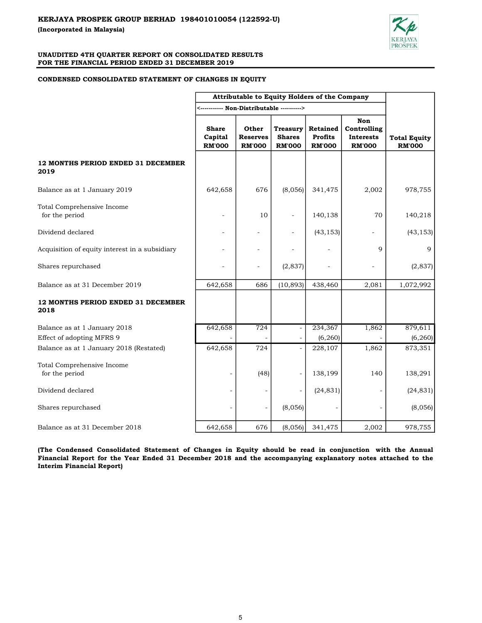

#### CONDENSED CONSOLIDATED STATEMENT OF CHANGES IN EQUITY

|                                                | Attributable to Equity Holders of the Company |                                           |                                                   |                                                    |                                                         |                                      |
|------------------------------------------------|-----------------------------------------------|-------------------------------------------|---------------------------------------------------|----------------------------------------------------|---------------------------------------------------------|--------------------------------------|
|                                                | <----------- Non-Distributable ---------->    |                                           |                                                   |                                                    |                                                         |                                      |
|                                                | <b>Share</b><br>Capital<br><b>RM'000</b>      | Other<br><b>Reserves</b><br><b>RM'000</b> | <b>Treasury</b><br><b>Shares</b><br><b>RM'000</b> | <b>Retained</b><br><b>Profits</b><br><b>RM'000</b> | Non<br>Controlling<br><b>Interests</b><br><b>RM'000</b> | <b>Total Equity</b><br><b>RM'000</b> |
| 12 MONTHS PERIOD ENDED 31 DECEMBER<br>2019     |                                               |                                           |                                                   |                                                    |                                                         |                                      |
| Balance as at 1 January 2019                   | 642,658                                       | 676                                       | (8,056)                                           | 341,475                                            | 2,002                                                   | 978,755                              |
| Total Comprehensive Income<br>for the period   |                                               | 10                                        |                                                   | 140,138                                            | 70                                                      | 140,218                              |
| Dividend declared                              |                                               | $\overline{a}$                            |                                                   | (43, 153)                                          |                                                         | (43, 153)                            |
| Acquisition of equity interest in a subsidiary |                                               | $\overline{a}$                            |                                                   |                                                    | 9                                                       | 9                                    |
| Shares repurchased                             |                                               | $\overline{a}$                            | (2,837)                                           |                                                    |                                                         | (2,837)                              |
| Balance as at 31 December 2019                 | 642,658                                       | 686                                       | (10, 893)                                         | 438,460                                            | 2,081                                                   | 1,072,992                            |
| 12 MONTHS PERIOD ENDED 31 DECEMBER<br>2018     |                                               |                                           |                                                   |                                                    |                                                         |                                      |
| Balance as at 1 January 2018                   | 642,658                                       | 724                                       | $\overline{\phantom{a}}$                          | 234,367                                            | 1,862                                                   | 879,611                              |
| Effect of adopting MFRS 9                      |                                               |                                           |                                                   | (6, 260)                                           |                                                         | (6, 260)                             |
| Balance as at 1 January 2018 (Restated)        | 642,658                                       | 724                                       |                                                   | 228,107                                            | 1,862                                                   | 873,351                              |
| Total Comprehensive Income<br>for the period   | $\blacksquare$                                | (48)                                      |                                                   | 138,199                                            | 140                                                     | 138,291                              |
| Dividend declared                              | $\overline{\phantom{a}}$                      |                                           |                                                   | (24, 831)                                          |                                                         | (24, 831)                            |
| Shares repurchased                             |                                               |                                           | (8,056)                                           |                                                    | L,                                                      | (8,056)                              |
| Balance as at 31 December 2018                 | 642,658                                       | 676                                       | (8,056)                                           | 341,475                                            | 2,002                                                   | 978,755                              |

(The Condensed Consolidated Statement of Changes in Equity should be read in conjunction with the Annual Financial Report for the Year Ended 31 December 2018 and the accompanying explanatory notes attached to the Interim Financial Report)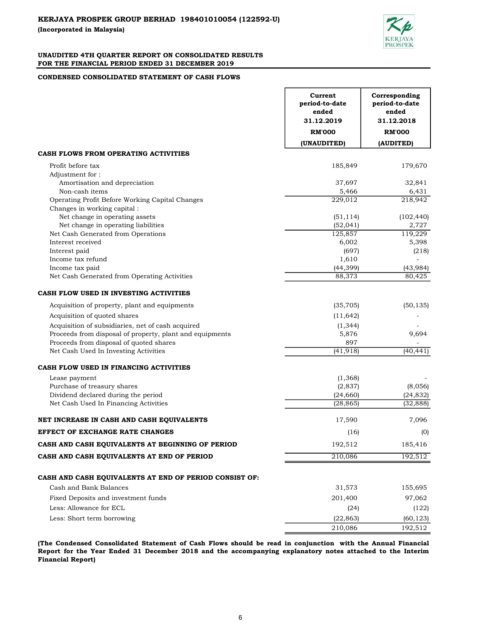

# CONDENSED CONSOLIDATED STATEMENT OF CASH FLOWS

|                                                          | Current<br>period-to-date<br>ended<br>31.12.2019<br><b>RM'000</b> | Corresponding<br>period-to-date<br>ended<br>31.12.2018<br><b>RM'000</b> |
|----------------------------------------------------------|-------------------------------------------------------------------|-------------------------------------------------------------------------|
|                                                          | (UNAUDITED)                                                       | (AUDITED)                                                               |
| CASH FLOWS FROM OPERATING ACTIVITIES                     |                                                                   |                                                                         |
| Profit before tax                                        | 185,849                                                           | 179,670                                                                 |
| Adjustment for:                                          |                                                                   |                                                                         |
| Amortisation and depreciation                            | 37,697                                                            | 32,841                                                                  |
| Non-cash items                                           | 5,466                                                             | 6,431                                                                   |
| Operating Profit Before Working Capital Changes          | 229,012                                                           | 218,942                                                                 |
| Changes in working capital :                             |                                                                   |                                                                         |
| Net change in operating assets                           | (51, 114)                                                         | (102, 440)                                                              |
| Net change in operating liabilities                      | (52, 041)                                                         | 2,727                                                                   |
| Net Cash Generated from Operations                       | 125,857                                                           | 119,229                                                                 |
| Interest received                                        | 6,002                                                             | 5,398                                                                   |
| Interest paid                                            | (697)                                                             | (218)                                                                   |
| Income tax refund                                        | 1,610                                                             |                                                                         |
| Income tax paid                                          | (44, 399)                                                         | (43, 984)                                                               |
| Net Cash Generated from Operating Activities             | 88,373                                                            | 80,425                                                                  |
| CASH FLOW USED IN INVESTING ACTIVITIES                   |                                                                   |                                                                         |
| Acquisition of property, plant and equipments            | (35, 705)                                                         | (50, 135)                                                               |
| Acquisition of quoted shares                             | (11, 642)                                                         |                                                                         |
| Acquisition of subsidiaries, net of cash acquired        | (1, 344)                                                          |                                                                         |
| Proceeds from disposal of property, plant and equipments | 5,876                                                             | 9,694                                                                   |
| Proceeds from disposal of quoted shares                  | 897                                                               |                                                                         |
| Net Cash Used In Investing Activities                    | (41, 918)                                                         | (40, 441)                                                               |
| CASH FLOW USED IN FINANCING ACTIVITIES                   |                                                                   |                                                                         |
| Lease payment                                            | (1,368)                                                           |                                                                         |
| Purchase of treasury shares                              | (2,837)                                                           | (8,056)                                                                 |
| Dividend declared during the period                      | (24, 660)                                                         | (24, 832)                                                               |
| Net Cash Used In Financing Activities                    | (28, 865)                                                         | (32, 888)                                                               |
| NET INCREASE IN CASH AND CASH EQUIVALENTS                | 17,590                                                            | 7,096                                                                   |
| EFFECT OF EXCHANGE RATE CHANGES                          | (16)                                                              | (0)                                                                     |
| CASH AND CASH EQUIVALENTS AT BEGINNING OF PERIOD         | 192,512                                                           | 185,416                                                                 |
| CASH AND CASH EQUIVALENTS AT END OF PERIOD               | 210,086                                                           | 192,512                                                                 |
|                                                          |                                                                   |                                                                         |
| CASH AND CASH EQUIVALENTS AT END OF PERIOD CONSIST OF:   |                                                                   |                                                                         |
| Cash and Bank Balances                                   | 31,573                                                            | 155,695                                                                 |
| Fixed Deposits and investment funds                      | 201,400                                                           | 97,062                                                                  |
| Less: Allowance for ECL                                  | (24)                                                              | (122)                                                                   |
| Less: Short term borrowing                               | (22, 863)                                                         | (60, 123)                                                               |
|                                                          | 210,086                                                           | 192,512                                                                 |

(The Condensed Consolidated Statement of Cash Flows should be read in conjunction with the Annual Financial Report for the Year Ended 31 December 2018 and the accompanying explanatory notes attached to the Interim Financial Report)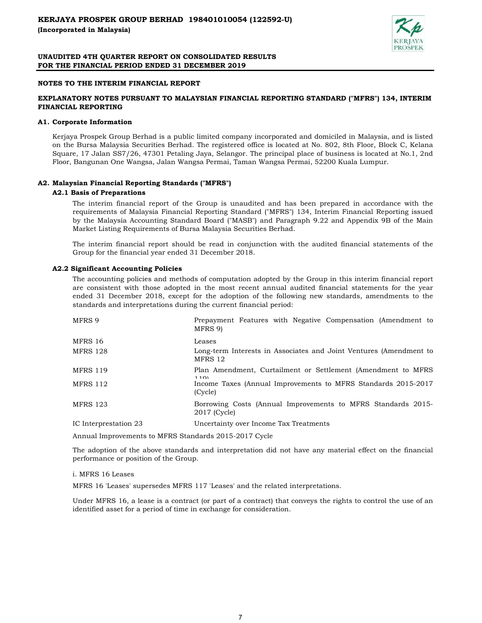

## NOTES TO THE INTERIM FINANCIAL REPORT

# EXPLANATORY NOTES PURSUANT TO MALAYSIAN FINANCIAL REPORTING STANDARD ("MFRS") 134, INTERIM FINANCIAL REPORTING

#### A1. Corporate Information

Kerjaya Prospek Group Berhad is a public limited company incorporated and domiciled in Malaysia, and is listed on the Bursa Malaysia Securities Berhad. The registered office is located at No. 802, 8th Floor, Block C, Kelana Square, 17 Jalan SS7/26, 47301 Petaling Jaya, Selangor. The principal place of business is located at No.1, 2nd Floor, Bangunan One Wangsa, Jalan Wangsa Permai, Taman Wangsa Permai, 52200 Kuala Lumpur.

# A2. Malaysian Financial Reporting Standards ("MFRS")

#### A2.1 Basis of Preparations

The interim financial report of the Group is unaudited and has been prepared in accordance with the requirements of Malaysia Financial Reporting Standard ("MFRS") 134, Interim Financial Reporting issued by the Malaysia Accounting Standard Board ("MASB") and Paragraph 9.22 and Appendix 9B of the Main Market Listing Requirements of Bursa Malaysia Securities Berhad.

The interim financial report should be read in conjunction with the audited financial statements of the Group for the financial year ended 31 December 2018.

## A2.2 Significant Accounting Policies

The accounting policies and methods of computation adopted by the Group in this interim financial report are consistent with those adopted in the most recent annual audited financial statements for the year ended 31 December 2018, except for the adoption of the following new standards, amendments to the standards and interpretations during the current financial period:

| MFRS 9                | Prepayment Features with Negative Compensation (Amendment to<br>MFRS 9)       |
|-----------------------|-------------------------------------------------------------------------------|
| MFRS 16               | Leases                                                                        |
| <b>MFRS 128</b>       | Long-term Interests in Associates and Joint Ventures (Amendment to<br>MFRS 12 |
| <b>MFRS 119</b>       | Plan Amendment, Curtailment or Settlement (Amendment to MFRS<br>1101          |
| <b>MFRS 112</b>       | Income Taxes (Annual Improvements to MFRS Standards 2015-2017)<br>(Cycle)     |
| <b>MFRS 123</b>       | Borrowing Costs (Annual Improvements to MFRS Standards 2015–<br>2017 (Cycle)  |
| IC Interprestation 23 | Uncertainty over Income Tax Treatments                                        |

Annual Improvements to MFRS Standards 2015-2017 Cycle

The adoption of the above standards and interpretation did not have any material effect on the financial performance or position of the Group.

#### i. MFRS 16 Leases

MFRS 16 'Leases' supersedes MFRS 117 'Leases' and the related interpretations.

Under MFRS 16, a lease is a contract (or part of a contract) that conveys the rights to control the use of an identified asset for a period of time in exchange for consideration.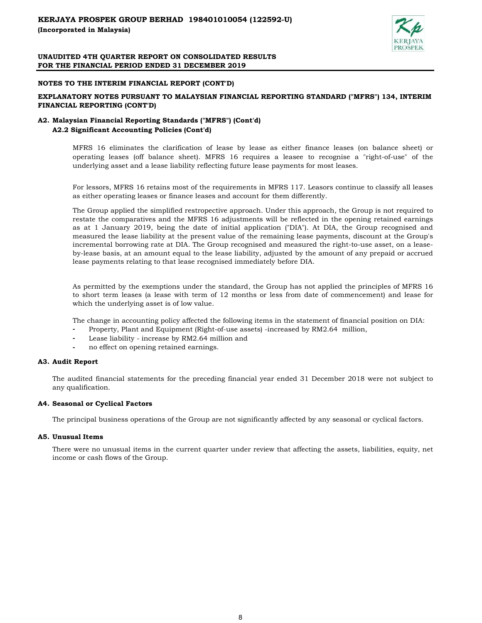

## NOTES TO THE INTERIM FINANCIAL REPORT (CONT'D)

# EXPLANATORY NOTES PURSUANT TO MALAYSIAN FINANCIAL REPORTING STANDARD ("MFRS") 134, INTERIM FINANCIAL REPORTING (CONT'D)

# A2. Malaysian Financial Reporting Standards ("MFRS") (Cont'd) A2.2 Significant Accounting Policies (Cont'd)

MFRS 16 eliminates the clarification of lease by lease as either finance leases (on balance sheet) or operating leases (off balance sheet). MFRS 16 requires a leasee to recognise a "right-of-use" of the underlying asset and a lease liability reflecting future lease payments for most leases.

For lessors, MFRS 16 retains most of the requirements in MFRS 117. Leasors continue to classify all leases as either operating leases or finance leases and account for them differently.

The Group applied the simplified restropective approach. Under this approach, the Group is not required to restate the comparatives and the MFRS 16 adjustments will be reflected in the opening retained earnings as at 1 January 2019, being the date of initial application ("DIA"). At DIA, the Group recognised and measured the lease liability at the present value of the remaining lease payments, discount at the Group's incremental borrowing rate at DIA. The Group recognised and measured the right-to-use asset, on a leaseby-lease basis, at an amount equal to the lease liability, adjusted by the amount of any prepaid or accrued lease payments relating to that lease recognised immediately before DIA.

As permitted by the exemptions under the standard, the Group has not applied the principles of MFRS 16 to short term leases (a lease with term of 12 months or less from date of commencement) and lease for which the underlying asset is of low value.

The change in accounting policy affected the following items in the statement of financial position on DIA:

- Property, Plant and Equipment (Right-of-use assets) -increased by RM2.64 million,
- Lease liability increase by RM2.64 million and
- no effect on opening retained earnings.

#### A3. Audit Report

The audited financial statements for the preceding financial year ended 31 December 2018 were not subject to any qualification.

# A4. Seasonal or Cyclical Factors

The principal business operations of the Group are not significantly affected by any seasonal or cyclical factors.

#### A5. Unusual Items

There were no unusual items in the current quarter under review that affecting the assets, liabilities, equity, net income or cash flows of the Group.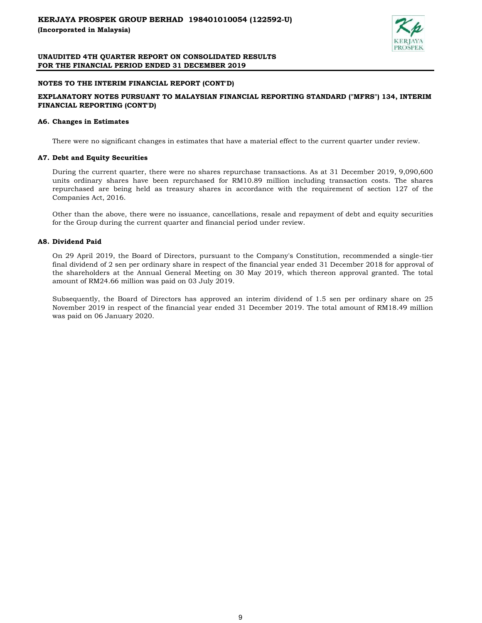

## NOTES TO THE INTERIM FINANCIAL REPORT (CONT'D)

# EXPLANATORY NOTES PURSUANT TO MALAYSIAN FINANCIAL REPORTING STANDARD ("MFRS") 134, INTERIM FINANCIAL REPORTING (CONT'D)

#### A6. Changes in Estimates

There were no significant changes in estimates that have a material effect to the current quarter under review.

#### A7. Debt and Equity Securities

During the current quarter, there were no shares repurchase transactions. As at 31 December 2019, 9,090,600 units ordinary shares have been repurchased for RM10.89 million including transaction costs. The shares repurchased are being held as treasury shares in accordance with the requirement of section 127 of the Companies Act, 2016.

Other than the above, there were no issuance, cancellations, resale and repayment of debt and equity securities for the Group during the current quarter and financial period under review.

## A8. Dividend Paid

On 29 April 2019, the Board of Directors, pursuant to the Company's Constitution, recommended a single-tier final dividend of 2 sen per ordinary share in respect of the financial year ended 31 December 2018 for approval of the shareholders at the Annual General Meeting on 30 May 2019, which thereon approval granted. The total amount of RM24.66 million was paid on 03 July 2019.

Subsequently, the Board of Directors has approved an interim dividend of 1.5 sen per ordinary share on 25 November 2019 in respect of the financial year ended 31 December 2019. The total amount of RM18.49 million was paid on 06 January 2020.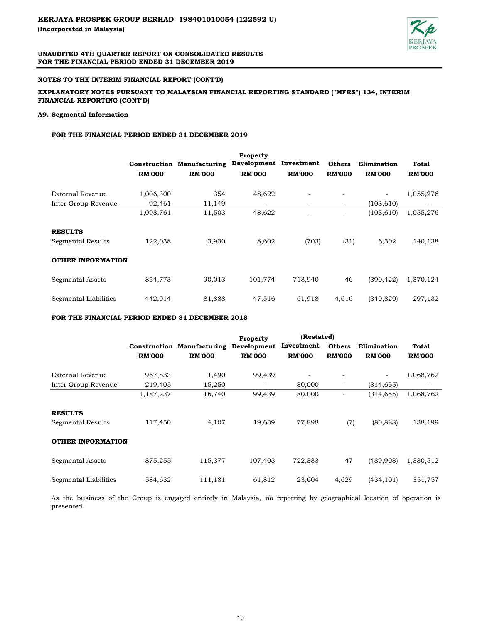

# NOTES TO THE INTERIM FINANCIAL REPORT (CONT'D)

# EXPLANATORY NOTES PURSUANT TO MALAYSIAN FINANCIAL REPORTING STANDARD ("MFRS") 134, INTERIM FINANCIAL REPORTING (CONT'D)

## A9. Segmental Information

## FOR THE FINANCIAL PERIOD ENDED 31 DECEMBER 2019

|                          |               |                                   | Property                 |                          |                          |                          |               |
|--------------------------|---------------|-----------------------------------|--------------------------|--------------------------|--------------------------|--------------------------|---------------|
|                          |               | <b>Construction Manufacturing</b> | Development Investment   |                          | <b>Others</b>            | Elimination              | Total         |
|                          | <b>RM'000</b> | <b>RM'000</b>                     | <b>RM'000</b>            | <b>RM'000</b>            | <b>RM'000</b>            | <b>RM'000</b>            | <b>RM'000</b> |
| External Revenue         | 1,006,300     | 354                               | 48,622                   |                          | $\overline{\phantom{a}}$ | $\overline{\phantom{a}}$ | 1,055,276     |
| Inter Group Revenue      | 92,461        | 11,149                            | $\overline{\phantom{a}}$ | $\overline{\phantom{a}}$ | $\overline{\phantom{a}}$ | (103, 610)               |               |
|                          | 1,098,761     | 11,503                            | 48,622                   |                          | $\overline{\phantom{a}}$ | (103, 610)               | 1,055,276     |
| <b>RESULTS</b>           |               |                                   |                          |                          |                          |                          |               |
| Segmental Results        | 122,038       | 3,930                             | 8,602                    | (703)                    | (31)                     | 6,302                    | 140,138       |
| <b>OTHER INFORMATION</b> |               |                                   |                          |                          |                          |                          |               |
| Segmental Assets         | 854,773       | 90,013                            | 101,774                  | 713,940                  | 46                       | (390, 422)               | 1,370,124     |
| Segmental Liabilities    | 442,014       | 81,888                            | 47,516                   | 61,918                   | 4,616                    | (340, 820)               | 297,132       |

FOR THE FINANCIAL PERIOD ENDED 31 DECEMBER 2018

|                          |               |                                   | <b>Property</b>          | (Restated)    |               |                          |               |
|--------------------------|---------------|-----------------------------------|--------------------------|---------------|---------------|--------------------------|---------------|
|                          |               | <b>Construction Manufacturing</b> | Development              | Investment    | <b>Others</b> | Elimination              | Total         |
|                          | <b>RM'000</b> | <b>RM'000</b>                     | <b>RM'000</b>            | <b>RM'000</b> | <b>RM'000</b> | <b>RM'000</b>            | <b>RM'000</b> |
| External Revenue         | 967,833       | 1,490                             | 99,439                   |               |               | $\overline{\phantom{a}}$ | 1,068,762     |
| Inter Group Revenue      | 219,405       | 15,250                            | $\overline{\phantom{a}}$ | 80,000        | -             | (314, 655)               |               |
|                          | 1,187,237     | 16,740                            | 99,439                   | 80,000        |               | (314, 655)               | 1,068,762     |
| <b>RESULTS</b>           |               |                                   |                          |               |               |                          |               |
| Segmental Results        | 117,450       | 4,107                             | 19,639                   | 77,898        | (7)           | (80, 888)                | 138,199       |
| <b>OTHER INFORMATION</b> |               |                                   |                          |               |               |                          |               |
| Segmental Assets         | 875,255       | 115,377                           | 107,403                  | 722,333       | 47            | (489, 903)               | 1,330,512     |
| Segmental Liabilities    | 584,632       | 111,181                           | 61,812                   | 23,604        | 4,629         | (434, 101)               | 351,757       |

As the business of the Group is engaged entirely in Malaysia, no reporting by geographical location of operation is presented.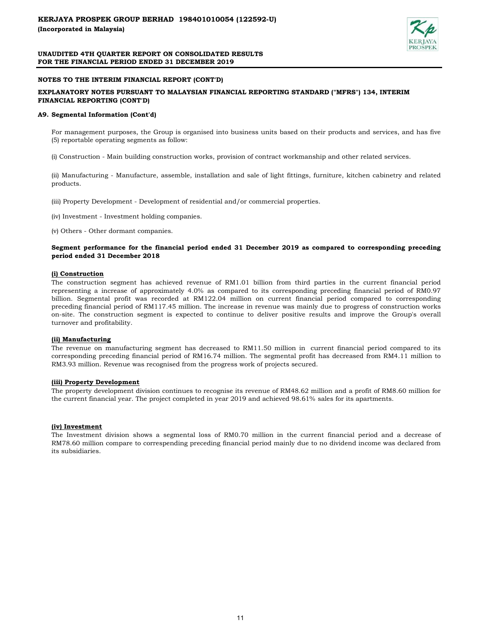

## NOTES TO THE INTERIM FINANCIAL REPORT (CONT'D)

## EXPLANATORY NOTES PURSUANT TO MALAYSIAN FINANCIAL REPORTING STANDARD ("MFRS") 134, INTERIM FINANCIAL REPORTING (CONT'D)

#### A9. Segmental Information (Cont'd)

For management purposes, the Group is organised into business units based on their products and services, and has five (5) reportable operating segments as follow:

(i) Construction - Main building construction works, provision of contract workmanship and other related services.

(ii) Manufacturing - Manufacture, assemble, installation and sale of light fittings, furniture, kitchen cabinetry and related products.

(iii) Property Development - Development of residential and/or commercial properties.

(iv) Investment - Investment holding companies.

(v) Others - Other dormant companies.

#### Segment performance for the financial period ended 31 December 2019 as compared to corresponding preceding period ended 31 December 2018

#### (i) Construction

The construction segment has achieved revenue of RM1.01 billion from third parties in the current financial period representing a increase of approximately 4.0% as compared to its corresponding preceding financial period of RM0.97 billion. Segmental profit was recorded at RM122.04 million on current financial period compared to corresponding preceding financial period of RM117.45 million. The increase in revenue was mainly due to progress of construction works on-site. The construction segment is expected to continue to deliver positive results and improve the Group's overall turnover and profitability.

#### (ii) Manufacturing

The revenue on manufacturing segment has decreased to RM11.50 million in current financial period compared to its corresponding preceding financial period of RM16.74 million. The segmental profit has decreased from RM4.11 million to RM3.93 million. Revenue was recognised from the progress work of projects secured.

#### (iii) Property Development

The property development division continues to recognise its revenue of RM48.62 million and a profit of RM8.60 million for the current financial year. The project completed in year 2019 and achieved 98.61% sales for its apartments.

#### (iv) Investment

The Investment division shows a segmental loss of RM0.70 million in the current financial period and a decrease of RM78.60 million compare to correspending preceding financial period mainly due to no dividend income was declared from its subsidiaries.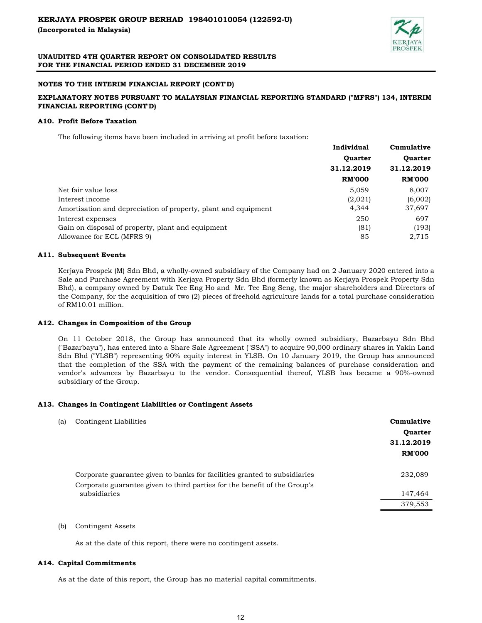

# NOTES TO THE INTERIM FINANCIAL REPORT (CONT'D)

# EXPLANATORY NOTES PURSUANT TO MALAYSIAN FINANCIAL REPORTING STANDARD ("MFRS") 134, INTERIM FINANCIAL REPORTING (CONT'D)

## A10. Profit Before Taxation

The following items have been included in arriving at profit before taxation:

|                                                                | Individual     | Cumulative     |
|----------------------------------------------------------------|----------------|----------------|
|                                                                | <b>Quarter</b> | <b>Ouarter</b> |
|                                                                | 31.12.2019     | 31.12.2019     |
|                                                                | <b>RM'000</b>  | <b>RM'000</b>  |
| Net fair value loss                                            | 5,059          | 8,007          |
| Interest income                                                | (2,021)        | (6,002)        |
| Amortisation and depreciation of property, plant and equipment | 4,344          | 37,697         |
| Interest expenses                                              | 250            | 697            |
| Gain on disposal of property, plant and equipment              | (81)           | (193)          |
| Allowance for ECL (MFRS 9)                                     | 85             | 2,715          |
|                                                                |                |                |

## A11. Subsequent Events

Kerjaya Prospek (M) Sdn Bhd, a wholly-owned subsidiary of the Company had on 2 January 2020 entered into a Sale and Purchase Agreement with Kerjaya Property Sdn Bhd (formerly known as Kerjaya Prospek Property Sdn Bhd), a company owned by Datuk Tee Eng Ho and Mr. Tee Eng Seng, the major shareholders and Directors of the Company, for the acquisition of two (2) pieces of freehold agriculture lands for a total purchase consideration of RM10.01 million.

# A12. Changes in Composition of the Group

On 11 October 2018, the Group has announced that its wholly owned subsidiary, Bazarbayu Sdn Bhd ("Bazarbayu"), has entered into a Share Sale Agreement ("SSA") to acquire 90,000 ordinary shares in Yakin Land Sdn Bhd ("YLSB") representing 90% equity interest in YLSB. On 10 January 2019, the Group has announced that the completion of the SSA with the payment of the remaining balances of purchase consideration and vendor's advances by Bazarbayu to the vendor. Consequential thereof, YLSB has became a 90%-owned subsidiary of the Group.

#### A13. Changes in Contingent Liabilities or Contingent Assets

| (a) | Contingent Liabilities                                                    | Cumulative     |
|-----|---------------------------------------------------------------------------|----------------|
|     |                                                                           | <b>Quarter</b> |
|     |                                                                           | 31.12.2019     |
|     |                                                                           | <b>RM'000</b>  |
|     | Corporate guarantee given to banks for facilities granted to subsidiaries | 232,089        |
|     | Corporate guarantee given to third parties for the benefit of the Group's |                |
|     | subsidiaries                                                              | 147,464        |
|     |                                                                           | 379,553        |
|     |                                                                           |                |

## (b) Contingent Assets

As at the date of this report, there were no contingent assets.

#### A14. Capital Commitments

As at the date of this report, the Group has no material capital commitments.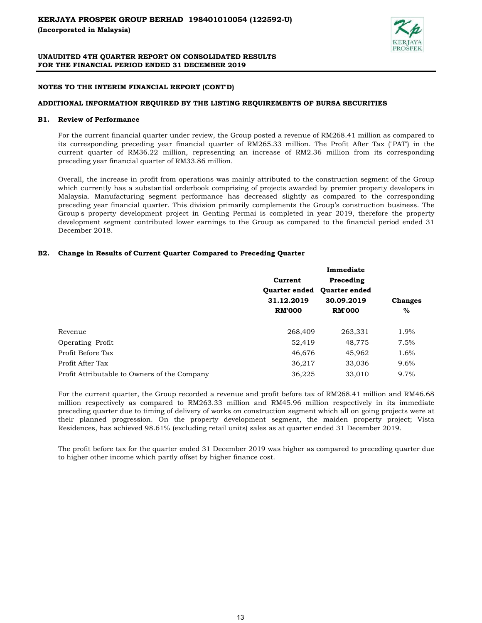

## NOTES TO THE INTERIM FINANCIAL REPORT (CONT'D)

## ADDITIONAL INFORMATION REQUIRED BY THE LISTING REQUIREMENTS OF BURSA SECURITIES

## B1. Review of Performance

For the current financial quarter under review, the Group posted a revenue of RM268.41 million as compared to its corresponding preceding year financial quarter of RM265.33 million. The Profit After Tax ("PAT') in the current quarter of RM36.22 million, representing an increase of RM2.36 million from its corresponding preceding year financial quarter of RM33.86 million.

Overall, the increase in profit from operations was mainly attributed to the construction segment of the Group which currently has a substantial orderbook comprising of projects awarded by premier property developers in Malaysia. Manufacturing segment performance has decreased slightly as compared to the corresponding preceding year financial quarter. This division primarily complements the Group's construction business. The Group's property development project in Genting Permai is completed in year 2019, therefore the property development segment contributed lower earnings to the Group as compared to the financial period ended 31 December 2018.

# B2. Change in Results of Current Quarter Compared to Preceding Quarter

|                                              | Current              | Preceding            |                |
|----------------------------------------------|----------------------|----------------------|----------------|
|                                              | <b>Ouarter ended</b> | <b>Ouarter ended</b> |                |
|                                              | 31.12.2019           | 30.09.2019           | <b>Changes</b> |
|                                              | <b>RM'000</b>        | <b>RM'000</b>        | $\%$           |
| Revenue                                      | 268,409              | 263,331              | 1.9%           |
| Operating Profit                             | 52,419               | 48,775               | 7.5%           |
| Profit Before Tax                            | 46,676               | 45,962               | 1.6%           |
| Profit After Tax                             | 36,217               | 33,036               | 9.6%           |
| Profit Attributable to Owners of the Company | 36,225               | 33,010               | 9.7%           |

For the current quarter, the Group recorded a revenue and profit before tax of RM268.41 million and RM46.68 million respectively as compared to RM263.33 million and RM45.96 million respectively in its immediate preceding quarter due to timing of delivery of works on construction segment which all on going projects were at their planned progression. On the property development segment, the maiden property project; Vista Residences, has achieved 98.61% (excluding retail units) sales as at quarter ended 31 December 2019.

The profit before tax for the quarter ended 31 December 2019 was higher as compared to preceding quarter due to higher other income which partly offset by higher finance cost.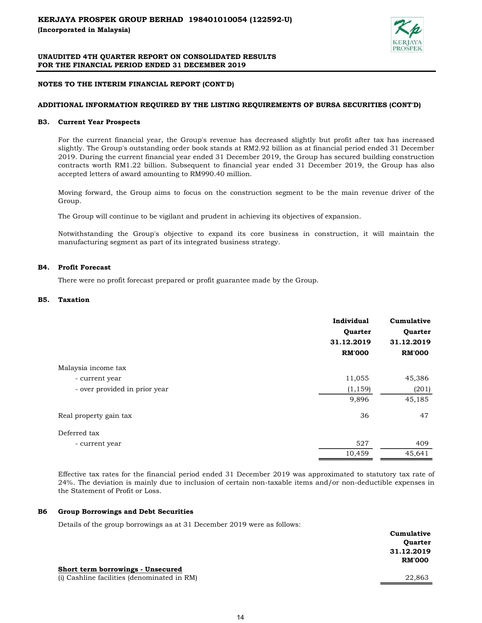

## NOTES TO THE INTERIM FINANCIAL REPORT (CONT'D)

## ADDITIONAL INFORMATION REQUIRED BY THE LISTING REQUIREMENTS OF BURSA SECURITIES (CONT'D)

#### B3. Current Year Prospects

For the current financial year, the Group's revenue has decreased slightly but profit after tax has increased slightly. The Group's outstanding order book stands at RM2.92 billion as at financial period ended 31 December 2019. During the current financial year ended 31 December 2019, the Group has secured building construction contracts worth RM1.22 billion. Subsequent to financial year ended 31 December 2019, the Group has also accepted letters of award amounting to RM990.40 million.

Moving forward, the Group aims to focus on the construction segment to be the main revenue driver of the Group.

The Group will continue to be vigilant and prudent in achieving its objectives of expansion.

Notwithstanding the Group's objective to expand its core business in construction, it will maintain the manufacturing segment as part of its integrated business strategy.

## B4. Profit Forecast

There were no profit forecast prepared or profit guarantee made by the Group.

#### B5. Taxation

|                               | Individual<br>Quarter<br>31.12.2019<br><b>RM'000</b> | Cumulative<br>Quarter<br>31.12.2019<br><b>RM'000</b> |
|-------------------------------|------------------------------------------------------|------------------------------------------------------|
| Malaysia income tax           |                                                      |                                                      |
| - current year                | 11,055                                               | 45,386                                               |
| - over provided in prior year | (1, 159)                                             | (201)                                                |
|                               | 9,896                                                | 45,185                                               |
| Real property gain tax        | 36                                                   | 47                                                   |
| Deferred tax                  |                                                      |                                                      |
| - current year                | 527                                                  | 409                                                  |
|                               | 10,459                                               | 45,641                                               |

Effective tax rates for the financial period ended 31 December 2019 was approximated to statutory tax rate of 24%. The deviation is mainly due to inclusion of certain non-taxable items and/or non-deductible expenses in the Statement of Profit or Loss.

#### B6 Group Borrowings and Debt Securities

Details of the group borrowings as at 31 December 2019 were as follows:

|                                             | Cumulative     |
|---------------------------------------------|----------------|
|                                             | <b>Quarter</b> |
|                                             | 31.12.2019     |
|                                             | <b>RM'000</b>  |
| Short term borrowings - Unsecured           |                |
| (i) Cashline facilities (denominated in RM) | 22,863         |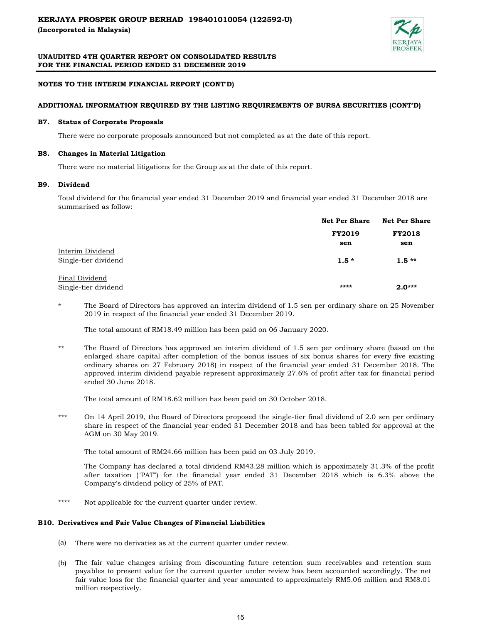

# NOTES TO THE INTERIM FINANCIAL REPORT (CONT'D)

# ADDITIONAL INFORMATION REQUIRED BY THE LISTING REQUIREMENTS OF BURSA SECURITIES (CONT'D)

#### B7. Status of Corporate Proposals

There were no corporate proposals announced but not completed as at the date of this report.

## B8. Changes in Material Litigation

There were no material litigations for the Group as at the date of this report.

#### B9. Dividend

Total dividend for the financial year ended 31 December 2019 and financial year ended 31 December 2018 are summarised as follow:

|                      | <b>Net Per Share</b> | <b>Net Per Share</b> |  |
|----------------------|----------------------|----------------------|--|
|                      | <b>FY2019</b>        | <b>FY2018</b>        |  |
|                      | sen                  | sen                  |  |
| Interim Dividend     |                      |                      |  |
| Single-tier dividend | $1.5*$               | $1.5**$              |  |
| Final Dividend       |                      |                      |  |
| Single-tier dividend | ****                 | $2.0***$             |  |

\* The Board of Directors has approved an interim dividend of 1.5 sen per ordinary share on 25 November 2019 in respect of the financial year ended 31 December 2019.

The total amount of RM18.49 million has been paid on 06 January 2020.

\*\* The Board of Directors has approved an interim dividend of 1.5 sen per ordinary share (based on the enlarged share capital after completion of the bonus issues of six bonus shares for every five existing ordinary shares on 27 February 2018) in respect of the financial year ended 31 December 2018. The approved interim dividend payable represent approximately 27.6% of profit after tax for financial period ended 30 June 2018.

The total amount of RM18.62 million has been paid on 30 October 2018.

\*\*\* On 14 April 2019, the Board of Directors proposed the single-tier final dividend of 2.0 sen per ordinary share in respect of the financial year ended 31 December 2018 and has been tabled for approval at the AGM on 30 May 2019.

The total amount of RM24.66 million has been paid on 03 July 2019.

The Company has declared a total dividend RM43.28 million which is appoximately 31.3% of the profit after taxation ("PAT") for the financial year ended 31 December 2018 which is 6.3% above the Company's dividend policy of 25% of PAT.

\*\*\*\* Not applicable for the current quarter under review.

#### B10. Derivatives and Fair Value Changes of Financial Liabilities

- (a) There were no derivaties as at the current quarter under review.
- (b) The fair value changes arising from discounting future retention sum receivables and retention sum payables to present value for the current quarter under review has been accounted accordingly. The net fair value loss for the financial quarter and year amounted to approximately RM5.06 million and RM8.01 million respectively.